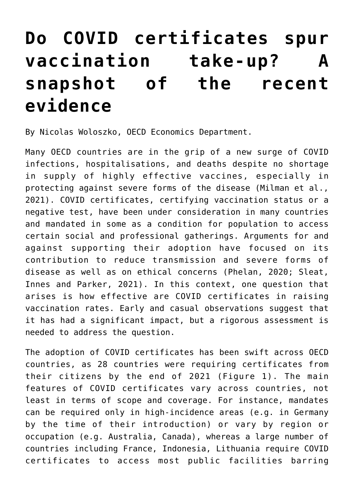## **[Do COVID certificates spur](https://oecdecoscope.blog/2022/01/18/do-covid-certificates-spur-vaccination-take-up-a-snapshot-of-the-recent-evidence/) [vaccination take-up? A](https://oecdecoscope.blog/2022/01/18/do-covid-certificates-spur-vaccination-take-up-a-snapshot-of-the-recent-evidence/) [snapshot of the recent](https://oecdecoscope.blog/2022/01/18/do-covid-certificates-spur-vaccination-take-up-a-snapshot-of-the-recent-evidence/) [evidence](https://oecdecoscope.blog/2022/01/18/do-covid-certificates-spur-vaccination-take-up-a-snapshot-of-the-recent-evidence/)**

By Nicolas Woloszko, OECD Economics Department.

Many OECD countries are in the grip of a new surge of COVID infections, hospitalisations, and deaths despite no shortage in supply of highly effective vaccines, especially in protecting against severe forms of the disease (Milman et al., 2021). COVID certificates, certifying vaccination status or a negative test, have been under consideration in many countries and mandated in some as a condition for population to access certain social and professional gatherings. Arguments for and against supporting their adoption have focused on its contribution to reduce transmission and severe forms of disease as well as on ethical concerns (Phelan, 2020; Sleat, Innes and Parker, 2021). In this context, one question that arises is how effective are COVID certificates in raising vaccination rates. Early and casual observations suggest that it has had a significant impact, but a rigorous assessment is needed to address the question.

The adoption of COVID certificates has been swift across OECD countries, as 28 countries were requiring certificates from their citizens by the end of 2021 (Figure 1). The main features of COVID certificates vary across countries, not least in terms of scope and coverage. For instance, mandates can be required only in high-incidence areas (e.g. in Germany by the time of their introduction) or vary by region or occupation (e.g. Australia, Canada), whereas a large number of countries including France, Indonesia, Lithuania require COVID certificates to access most public facilities barring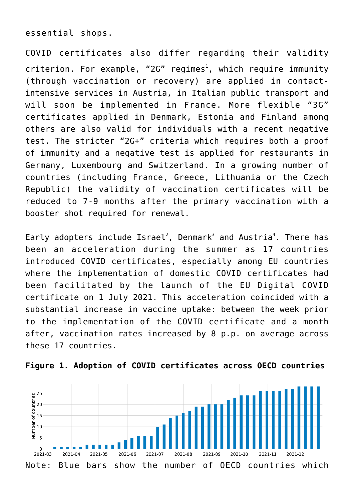essential shops.

COVID certificates also differ regarding their validity criterion. For example, "2G" regimes<sup>[1](#page--1-0)</sup>, which require immunity (through vaccination or recovery) are applied in contactintensive services in Austria, in Italian public transport and will soon be implemented in France. More flexible "3G" certificates applied in Denmark, Estonia and Finland among others are also valid for individuals with a recent negative test. The stricter "2G+" criteria which requires both a proof of immunity and a negative test is applied for restaurants in Germany, Luxembourg and Switzerland. In a growing number of countries (including France, Greece, Lithuania or the Czech Republic) the validity of vaccination certificates will be reduced to 7-9 months after the primary vaccination with a booster shot required for renewal.

Early adopters include  $\text{Israel}^2$  $\text{Israel}^2$ , Denmark<sup>[3](#page--1-0)</sup> and Austria<sup>[4](#page--1-0)</sup>. There has been an acceleration during the summer as 17 countries introduced COVID certificates, especially among EU countries where the implementation of domestic COVID certificates had been facilitated by the launch of the EU Digital COVID certificate on 1 July 2021. This acceleration coincided with a substantial increase in vaccine uptake: between the week prior to the implementation of the COVID certificate and a month after, vaccination rates increased by 8 p.p. on average across these 17 countries.



**Figure 1. Adoption of COVID certificates across OECD countries**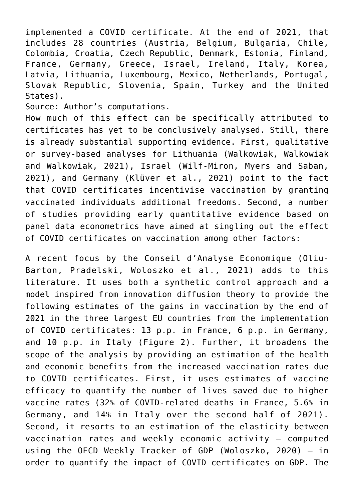implemented a COVID certificate. At the end of 2021, that includes 28 countries (Austria, Belgium, Bulgaria, Chile, Colombia, Croatia, Czech Republic, Denmark, Estonia, Finland, France, Germany, Greece, Israel, Ireland, Italy, Korea, Latvia, Lithuania, Luxembourg, Mexico, Netherlands, Portugal, Slovak Republic, Slovenia, Spain, Turkey and the United States).

Source: Author's computations.

How much of this effect can be specifically attributed to certificates has yet to be conclusively analysed. Still, there is already substantial supporting evidence. First, qualitative or survey-based analyses for Lithuania (Walkowiak, Walkowiak and Walkowiak, 2021), Israel (Wilf-Miron, Myers and Saban, 2021), and Germany (Klüver et al., 2021) point to the fact that COVID certificates incentivise vaccination by granting vaccinated individuals additional freedoms. Second, a number of studies providing early quantitative evidence based on panel data econometrics have aimed at singling out the effect of COVID certificates on vaccination among other factors:

A recent focus by the Conseil d'Analyse Economique (Oliu-Barton, Pradelski, Woloszko et al., 2021) adds to this literature. It uses both a synthetic control approach and a model inspired from innovation diffusion theory to provide the following estimates of the gains in vaccination by the end of 2021 in the three largest EU countries from the implementation of COVID certificates: 13 p.p. in France, 6 p.p. in Germany, and 10 p.p. in Italy (Figure 2). Further, it broadens the scope of the analysis by providing an estimation of the health and economic benefits from the increased vaccination rates due to COVID certificates. First, it uses estimates of vaccine efficacy to quantify the number of lives saved due to higher vaccine rates (32% of COVID-related deaths in France, 5.6% in Germany, and 14% in Italy over the second half of 2021). Second, it resorts to an estimation of the elasticity between vaccination rates and weekly economic activity – computed using the OECD Weekly Tracker of GDP (Woloszko, 2020) – in order to quantify the impact of COVID certificates on GDP. The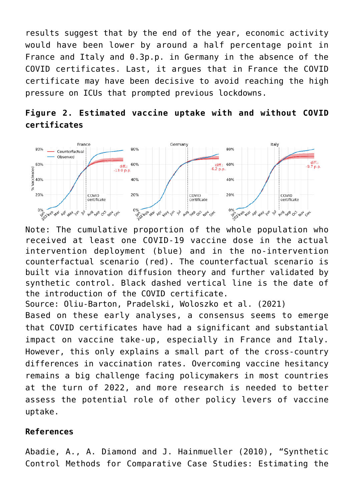results suggest that by the end of the year, economic activity would have been lower by around a half percentage point in France and Italy and 0.3p.p. in Germany in the absence of the COVID certificates. Last, it argues that in France the COVID certificate may have been decisive to avoid reaching the high pressure on ICUs that prompted previous lockdowns.





Note: The cumulative proportion of the whole population who received at least one COVID-19 vaccine dose in the actual intervention deployment (blue) and in the no-intervention counterfactual scenario (red). The counterfactual scenario is built via innovation diffusion theory and further validated by synthetic control. Black dashed vertical line is the date of the introduction of the COVID certificate.

Source: Oliu-Barton, Pradelski, Woloszko et al. (2021)

Based on these early analyses, a consensus seems to emerge that COVID certificates have had a significant and substantial impact on vaccine take-up, especially in France and Italy. However, this only explains a small part of the cross-country differences in vaccination rates. Overcoming vaccine hesitancy remains a big challenge facing policymakers in most countries at the turn of 2022, and more research is needed to better assess the potential role of other policy levers of vaccine uptake.

## **References**

Abadie, A., A. Diamond and J. Hainmueller (2010), "Synthetic Control Methods for Comparative Case Studies: Estimating the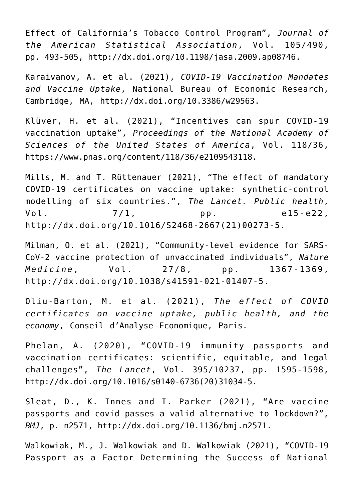Effect of California's Tobacco Control Program", *Journal of the American Statistical Association*, Vol. 105/490, pp. 493-505, http://dx.doi.org/10.1198/jasa.2009.ap08746.

Karaivanov, A. et al. (2021), *COVID-19 Vaccination Mandates and Vaccine Uptake*, National Bureau of Economic Research, Cambridge, MA, http://dx.doi.org/10.3386/w29563.

Klüver, H. et al. (2021), "Incentives can spur COVID-19 vaccination uptake", *Proceedings of the National Academy of Sciences of the United States of America*, Vol. 118/36, <https://www.pnas.org/content/118/36/e2109543118>.

Mills, M. and T. Rüttenauer (2021), "The effect of mandatory COVID-19 certificates on vaccine uptake: synthetic-control modelling of six countries.", *The Lancet. Public health*, Vol. 7/1, pp. e15-e22, http://dx.doi.org/10.1016/S2468-2667(21)00273-5.

Milman, O. et al. (2021), "Community-level evidence for SARS-CoV-2 vaccine protection of unvaccinated individuals", *Nature Medicine*, Vol. 27/8, pp. 1367-1369, http://dx.doi.org/10.1038/s41591-021-01407-5.

Oliu-Barton, M. et al. (2021), *The effect of COVID certificates on vaccine uptake, public health, and the economy*, Conseil d'Analyse Economique, Paris.

Phelan, A. (2020), "COVID-19 immunity passports and vaccination certificates: scientific, equitable, and legal challenges", *The Lancet*, Vol. 395/10237, pp. 1595-1598, http://dx.doi.org/10.1016/s0140-6736(20)31034-5.

Sleat, D., K. Innes and I. Parker (2021), "Are vaccine passports and covid passes a valid alternative to lockdown?", *BMJ*, p. n2571, http://dx.doi.org/10.1136/bmj.n2571.

Walkowiak, M., J. Walkowiak and D. Walkowiak (2021), "COVID-19 Passport as a Factor Determining the Success of National